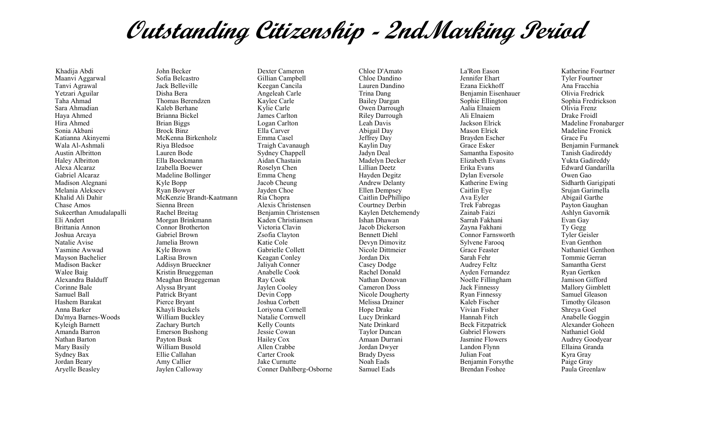## **Outstanding Citizenship - 2ndMarking Period**

Khadija Abdi Maanvi Aggarwal Tanvi Agrawal Yetzari Aguilar Taha Ahmad Sara Ahmadian Haya Ahmed Hira Ahmed Sonia Akbani Katianna Akinyemi Wala Al-Ashmali Austin Albritton Haley Albritton Alexa Alcaraz Gabriel Alcaraz Madison Alegnani Melania Alekseev Khalid Ali Dahir Chase Amos Sukeerthan Amudalapalli Eli Andert Brittania Annon Joshua Arcaya Natalie Avise Yasmine Awwad Mayson Bachelier Madison Backer Walee Baig Alexandra Balduff Corinne Bale Samuel Ball Hashem Barakat Anna Barker Da'mya Barnes-Woods Kyleigh Barnett Amanda Barron Nathan Barton Mary Basily Sydney Bax Jordan Beary Aryelle Beasley

John Becker Sofia Belcastro Jack Belleville Disha Bera Thomas Berendzen Kaleb Berhane Brianna Bickel Brian Biggs Brock Binz McKenna Birkenholz Riya Bledsoe Lauren Bode Ella Boeckmann Izabella Boewer Madeline Bollinger Kyle Bopp Ryan Bowyer McKenzie Brandt-Kaatmann Sienna Breen Rachel Breitag Morgan Brinkmann Connor Brotherton Gabriel Brown Jamelia Brown Kyle Brown LaRisa Brown Addisyn Brueckner Kristin Brueggeman Meaghan Brueggeman Alyssa Bryant Patrick Bryant Pierce Bryant Khayli Buckels William Buckley Zachary Burtch Emerson Bushong Payton Busk William Busold Ellie Callahan Amy Callier Jaylen Calloway

Dexter Cameron Gillian Campbell Keegan Cancila Angeleah Carle Kaylee Carle Kylie Carle James Carlton Logan Carlton Ella Carver Emma Casel Traigh Cavanaugh Sydney Chappell Aidan Chastain Roselyn Chen Emma Cheng Jacob Cheung Jayden Choe Ria Chopra Alexis Christensen Benjamin Christensen Kaden Christiansen Victoria Clavin Zsofia Clayton Katie Cole Gabrielle Collett Keagan Conley Jaliyah Conner Anabelle Cook Ray Cook Jaylen Cooley Devin Copp Joshua Corbett Loriyona Cornell Natalie Cornwell Kelly Counts Jessie Cowan Hailey Cox Allen Crabbe Carter Crook Jake Curnutte Conner Dahlberg-Osborne

Chloe D'Amato Chloe Dandino Lauren Dandino Trina Dang Bailey Dargan Owen Darrough Riley Darrough Leah Davis Abigail Day Jeffrey Day Kaylin Day Jadyn Deal Madelyn Decker Lillian Deetz Hayden Degitz Andrew Delanty Ellen Dempsey Caitlin DePhillipo Courtney Derbin Kaylen Detchemendy Ishan Dhawan Jacob Dickerson Bennett Diehl Devyn Dimovitz Nicole Dittmeier Jordan Dix Casey Dodge Rachel Donald Nathan Donovan Cameron Doss Nicole Dougherty Melissa Drainer Hope Drake Lucy Drinkard Nate Drinkard Taylor Duncan Amaan Durrani Jordan Dwyer Brady Dyess Noah Eads Samuel Eads

La'Ron Eason Jennifer Ehart Ezana Eickhoff Benjamin Eisenhauer Sophie Ellington Aalia Elnaiem Ali Elnaiem Jackson Elrick Mason Elrick Brayden Escher Grace Esker Samantha Esposito Elizabeth Evans Erika Evans Dylan Eversole Katherine Ewing Caitlin Eye Ava Eyler Trek Fabregas Zainab Faizi Sarrah Fakhani Zayna Fakhani Connor Farnsworth Sylvene Farooq Grace Feaster Sarah Fehr Audrey Feltz Ayden Fernandez Noelle Fillingham Jack Finnessy Ryan Finnessy Kaleb Fischer Vivian Fisher Hannah Fitch Beck Fitzpatrick Gabriel Flowers Jasmine Flowers Landon Flynn Julian Foat Benjamin Forsythe Brendan Foshee

Katherine Fourtner Tyler Fourtner Ana Fracchia Olivia Fredrick Sophia Fredrickson Olivia Frenz Drake Froidl Madeline Fronabarger Madeline Fronick Grace Fu Benjamin Furmanek Tanish Gadireddy Yukta Gadireddy Edward Gandarilla Owen Gao Sidharth Garigipati Srujan Garimella Abigail Garthe Payton Gaughan Ashlyn Gavornik Evan Gay Ty Gegg Tyler Geisler Evan Genthon Nathaniel Genthon Tommie Gerran Samantha Gerst Ryan Gertken Jamison Gifford Mallory Gimblett Samuel Gleason Timothy Gleason Shreya Goel Anabelle Goggin Alexander Goheen Nathaniel Gold Audrey Goodyear Ellaina Granda Kyra Gray Paige Gray Paula Greenlaw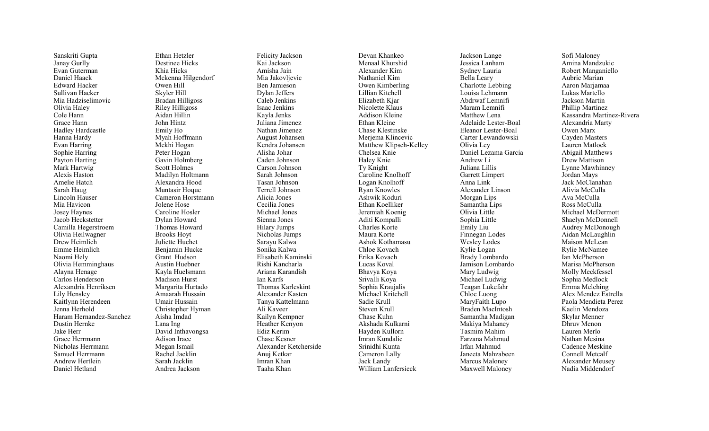Sanskriti Gupta Janay Gurlly Evan Guterman Daniel Haack Edward Hacker Sullivan Hacker Mia Hadziselimovic Olivia Haley Cole Hann Grace Hann Hadley Hardcastle Hanna Hardy Evan Harring Sophie Harring Payton Harting Mark Hartwig Alexis Haston Amelie Hatch Sarah Haug Lincoln Hauser Mia Havicon Josey Haynes Jacob Heckstetter Camilla Hegerstroem Olivia Heilwagner Drew Heimlich Emme Heimlich Naomi Hely Olivia Hemminghaus Alayna Henage Carlos Henderson Alexandria Henriksen Lily Hensley Kaitlynn Herendeen Jenna Herhold Haram Hernandez -Sanchez Dustin Hernke Jake Herr Grace Herrmann Nicholas Herrmann Samuel Herrmann Andrew Hertlein Daniel Hetland

Ethan Hetzler Destinee Hicks Khia Hicks Mckenna Hilgendorf Owen Hill Skyler Hill Bradan Hilligoss Riley Hilligoss Aidan Hillin John Hintz Emily Ho Myah Hoffmann Mekhi Hogan Peter Hogan Gavin Holmberg Scott Holmes Madilyn Holtmann Alexandra Hood Muntasir Hoque Cameron Horstmann Jolene Hose Caroline Hosler Dylan Howard Thomas Howard Brooks Hoyt Juliette Huchet Benjamin Hucke Grant Hudson Austin Huebner Kayla Huelsmann Madison Hurst Margarita Hurtado Amaarah Hussain Umair Hussain Christopher Hyman Aisha Imdad Lana Ing David Inthavongsa Adison Irace Megan Ismail Rachel Jacklin Sarah Jacklin Andrea Jackson

Felicity Jackson Kai Jackson Amisha Jain Mia Jakovljevic Ben Jamieson Dylan Jeffers Caleb Jenkins Isaac Jenkins Kayla Jenks Juliana Jimenez Nathan Jimenez August Johansen Kendra Johansen Alisha Johar Caden Johnson Carson Johnson Sarah Johnson Tasan Johnson Terrell Johnson Alicia Jones Cecilia Jones Michael Jones Sienna Jones Hilary Jumps Nicholas Jumps Sarayu Kalwa Sonika Kalwa Elisabeth Kaminski Rishi Kancharla Ariana Karandish Ian Karfs Thomas Karleskint Alexander Kasten Tanya Kattelmann Ali Kaveer Kailyn Kempner Heather Kenyon Ediz Kerim Chase Kesner Alexander Ketcherside Anuj Ketkar Imran Khan Taaha Khan

Devan Khankeo Menaal Khurshid Alexander Kim Nathaniel Kim Owen Kimberling Lillian Kitchell Elizabeth Kjar Nicolette Klaus Addison Kleine Ethan Kleine Chase Klestinske Merjema Klincevic Matthew Klipsch -Kelley Chelsea Knie Haley Knie Ty Knight Caroline Knolhoff Logan Knolhoff Ryan Knowles Ashwik Koduri Ethan Koelliker Jeremiah Koenig Aditi Kompalli Charles Korte Maura Korte Ashok Kothamasu Chloe Kovach Erika Kovach Lucas Koval Bhavya Koya Srivalli Koya Sophia Kraujalis Michael Kritchell Sadie Krull Steven Krull Chase Kuhn Akshada Kulkarni Hayden Kullorn Imran Kundalic Srinidhi Kunta Cameron Lally Jack Landy William Lanfersieck

Jackson Lange Jessica Lanham Sydney Lauria Bella Leary Charlotte Lebbing Louisa Lehmann Abdrwaf Lemnifi Maram Lemnifi Matthew Lena Adelaide Lester -Boal Eleanor Lester -Boal Carter Lewandowski Olivia Ley Daniel Lezama Garcia Andrew Li Juliana Lillis Garrett Limpert Anna Link Alexander Linson Morgan Lips Samantha Lips Olivia Little Sophia Little Emily Liu Finnegan Lodes Wesley Lodes Kylie Logan Brady Lombardo Jamison Lombardo Mary Ludwig Michael Ludwig Teagan Lukefahr Chloe Luong MaryFaith Lupo Braden MacIntosh Samantha Madigan Makiya Mahaney Tasmim Mahim Farzana Mahmud Irfan Mahmud Janeeta Mahzabeen Marcus Maloney Maxwell Maloney

Sofi Maloney Amina Mandzukic Robert Manganiello Aubrie Marian Aaron Marjamaa Lukas Martello Jackson Martin Phillip Martinez Kassandra Martinez -Rivera Alexandria Marty Owen Marx Cayden Masters Lauren Matlock Abigail Matthews Drew Mattison Lynne Mawhinney Jordan Mays Jack McClanahan Alivia McCulla Ava McCulla Ross McCulla Michael McDermott Shaelyn McDonnell Audrey McDonough Aidan McLaughlin Maison McLean Rylie McNamee Ian McPherson Marisa McPherson Molly Meckfessel Sophia Medlock Emma Melching Alex Mendez Estrella Paola Mendieta Perez Kaelin Mendoza Skylar Menner Dhruv Menon Lauren Merlo Nathan Mesina Cadence Meskine Connell Metcalf Alexander Meusey Nadia Middendorf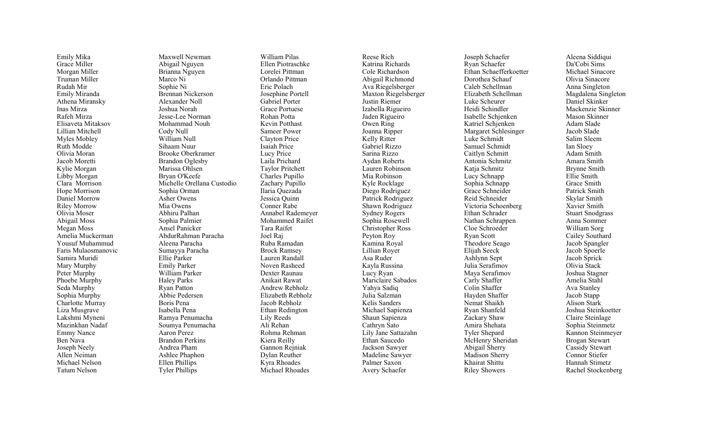Emily Mika Grace Miller Morgan Miller Truman Miller Rudah Mir Emily Miranda Athena Miransky Inas Mirza Rafeh Mirza Elisaveta Mitaksov Lillian Mitchell Myles Mobley Ruth Modde Olivia Moran Jacob Moretti Kylie Morgan Libby Morgan Clara Morrison Hope Morrison Daniel Morrow Riley Morrow Olivia Moser Abigail Moss Megan Moss Amelia Muckerman Yousuf Muhammud Faris Mulaosmanovic Samira Muridi Mary Murphy Peter Murphy Phoebe Murphy Seda Murphy Sophia Murphy Charlotte Murray Liza Musgrave Lakshmi Myneni Mazinkhan Nadaf Emmy Nance Ben Nava Joseph Neely Allen Neiman Michael Nelson Tatum Nelson

Maxwell Newman Abigail Nguyen Brianna Nguyen Marco Ni Sophie Ni Brennan Nickerson Alexander Noll Joshua Norah Jesse -Lee Norman Mohammad Nouh Cody Null William Null Sihaam Nuur Brooke Oberkramer Brandon Oglesby Marissa Ohlsen Bryan O'Keefe Michelle Orellana Custodio Sophia Orman Asher Owens Mia Owens Abhiru Palhan Sophia Palmier Ansel Panicker AbdurRahman Paracha Aleena Paracha Sumayya Paracha Ellie Parker Emily Parker William Parker Haley Parks Ryan Patton Abbie Pedersen Boris Pena Isabella Pena Ramya Penumacha Soumya Penumacha Aaron Perez Brandon Perkins Andrea Pham Ashlee Phaphon Ellen Phillips Tyler Phillips

William Pilas Ellen Piotraschke Lorelei Pittman Orlando Pittman Eric Polach Josephine Portell Gabriel Porter Grace Portuese Rohan Potta Kevin Potthast Sameer Power Clayton Price Isaiah Price Lucy Price Laila Prichard Taylor Pritchett Charles Pupillo Zachary Pupillo Ilaria Quezada Jessica Quinn Conner Rabe Annabel Rademeyer Mohammed Raifet Tara Raifet Joel Raj Ruba Ramadan Brock Ramsey Lauren Randall Noven Rasheed Dexter Raunau Anikait Rawat Andrew Rebholz Elizabeth Rebholz Jacob Rebholz Ethan Redington Lily Reeds Ali Rehan Rohma Rehman Kiera Reilly Gannon Rejniak Dylan Reuther Kyra Rhoades Michael Rhoades

Reese Rich Katrina Richards Cole Richardson Abigail Richmond Ava Riegelsberger Maxton Riegelsberger Justin Riemer Izabella Rigueiro Jaden Rigueiro Owen Ring Joanna Ripper Kelly Ritter Gabriel Rizzo Sarina Rizzo Aydan Roberts Lauren Robinson Mia Robinson Kyle Rocklage Diego Rodriguez Patrick Rodriguez Shawn Rodriguez Sydney Rogers Sophia Rosewell Christopher Ross Peyton Roy Kamina Royal Lillian Royer Asa Ruder Kayla Russina Lucy Ryan Mariclaire Sabados Yahya Sadiq Julia Salzman Kelis Sanders Michael Sapienza Shaun Sapienza Cathryn Sato Lily Jane Sattazahn Ethan Saucedo Jackson Sawyer Madeline Sawyer Palmer Saxon Avery Schaefer

Joseph Schaefer Ryan Schaefer Ethan Schaefferkoetter Dorothea Schauf Caleb Schellman Elizabeth Schellman Luke Scheurer Heidi Schindler Isabelle Schjenken Katriel Schjenken Margaret Schlesinger Luke Schmidt Samuel Schmidt Caitlyn Schmitt Antonia Schmitz Katja Schmitz Lucy Schnapp Sophia Schnapp Grace Schneider Reid Schneider Victoria Schoenberg Ethan Schrader Nathan Schrappen Cloe Schroeder Ryan Scott Theodore Seago Elijah Seeck Ashlynn Sept Julia Serafimov Maya Serafimov Carly Shaffer Colin Shaffer Hayden Shaffer Nemat Shaikh Ryan Shanfeld Zackary Shaw Amira Shehata Tyler Shepard McHenry Sheridan Abigail Sherry Madison Sherry Khairat Shittu Riley Showers

Aleena Siddiqui Da'Cobi Sims Michael Sinacore Olivia Sinacore Anna Singleton Magdalena Singleton Daniel Skinker Mackenzie Skinner Mason Skinner Adam Slade Jacob Slade Salim Sleem Ian Sloey Adam Smith Amara Smith Brynne Smith Ellie Smith Grace Smith Patrick Smith Skylar Smith Xavier Smith Stuart Snodgrass Anna Sommer William Sorg Cailey Southard Jacob Spangler Jacob Spoerle Jacob Sprick Olivia Stack Joshua Stagner Amelia Stahl Ava Stanley Jacob Stapp Alison Stark Joshua Steinkoetter Claire Steinlage Sophia Steinmetz Kannon Steinmeyer Brogan Stewart Cassidy Stewart Connor Stiefer Hannah Stimetz Rachel Stockenberg